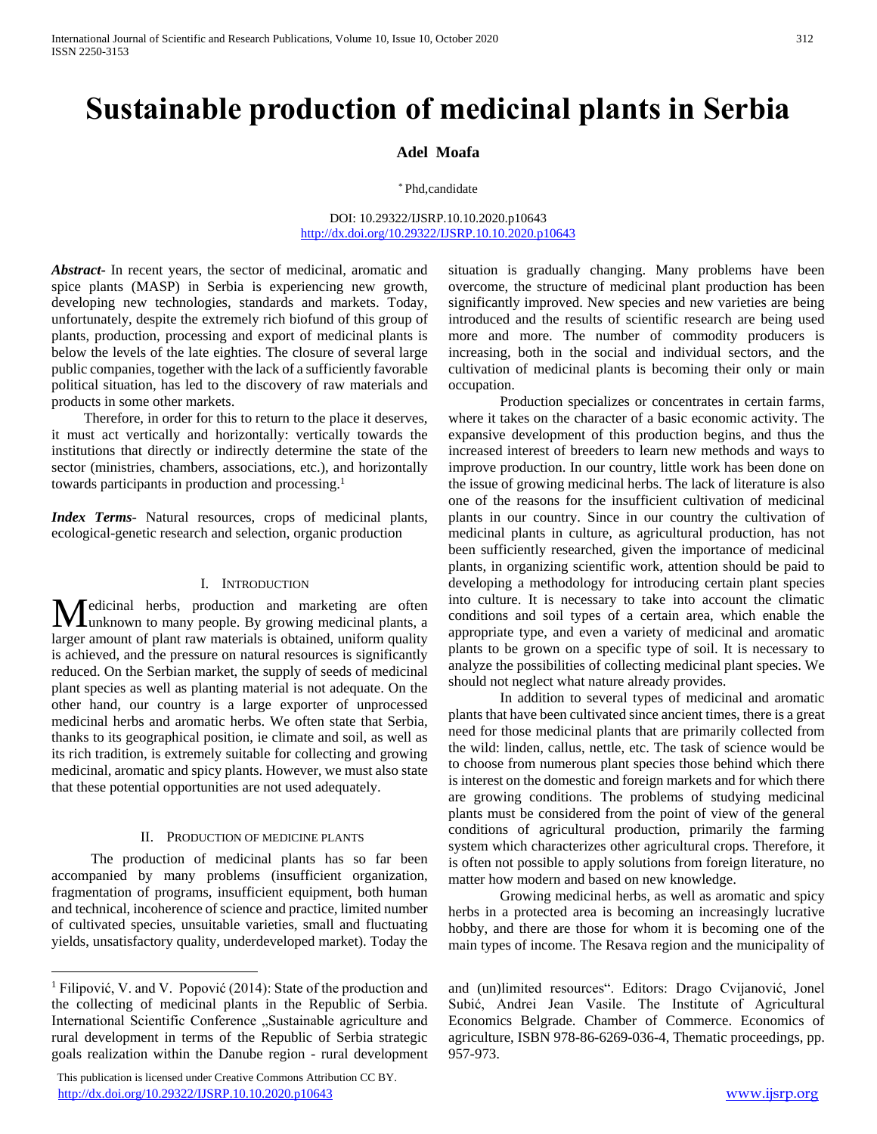# **Sustainable production of medicinal plants in Serbia**

## **Adel Moafa**

#### \* Phd,candidate

#### DOI: 10.29322/IJSRP.10.10.2020.p10643 <http://dx.doi.org/10.29322/IJSRP.10.10.2020.p10643>

*Abstract***-** In recent years, the sector of medicinal, aromatic and spice plants (MASP) in Serbia is experiencing new growth, developing new technologies, standards and markets. Today, unfortunately, despite the extremely rich biofund of this group of plants, production, processing and export of medicinal plants is below the levels of the late eighties. The closure of several large public companies, together with the lack of a sufficiently favorable political situation, has led to the discovery of raw materials and products in some other markets.

 Therefore, in order for this to return to the place it deserves, it must act vertically and horizontally: vertically towards the institutions that directly or indirectly determine the state of the sector (ministries, chambers, associations, etc.), and horizontally towards participants in production and processing.<sup>1</sup>

*Index Terms*- Natural resources, crops of medicinal plants, ecological-genetic research and selection, organic production

# I. INTRODUCTION

edicinal herbs, production and marketing are often Medicinal herbs, production and marketing are often<br>
unknown to many people. By growing medicinal plants, a larger amount of plant raw materials is obtained, uniform quality is achieved, and the pressure on natural resources is significantly reduced. On the Serbian market, the supply of seeds of medicinal plant species as well as planting material is not adequate. On the other hand, our country is a large exporter of unprocessed medicinal herbs and aromatic herbs. We often state that Serbia, thanks to its geographical position, ie climate and soil, as well as its rich tradition, is extremely suitable for collecting and growing medicinal, aromatic and spicy plants. However, we must also state that these potential opportunities are not used adequately.

#### II. PRODUCTION OF MEDICINE PLANTS

 The production of medicinal plants has so far been accompanied by many problems (insufficient organization, fragmentation of programs, insufficient equipment, both human and technical, incoherence of science and practice, limited number of cultivated species, unsuitable varieties, small and fluctuating yields, unsatisfactory quality, underdeveloped market). Today the

 $\overline{a}$ 

 This publication is licensed under Creative Commons Attribution CC BY. <http://dx.doi.org/10.29322/IJSRP.10.10.2020.p10643> [www.ijsrp.org](http://ijsrp.org/)

situation is gradually changing. Many problems have been overcome, the structure of medicinal plant production has been significantly improved. New species and new varieties are being introduced and the results of scientific research are being used more and more. The number of commodity producers is increasing, both in the social and individual sectors, and the cultivation of medicinal plants is becoming their only or main occupation.

Production specializes or concentrates in certain farms, where it takes on the character of a basic economic activity. The expansive development of this production begins, and thus the increased interest of breeders to learn new methods and ways to improve production. In our country, little work has been done on the issue of growing medicinal herbs. The lack of literature is also one of the reasons for the insufficient cultivation of medicinal plants in our country. Since in our country the cultivation of medicinal plants in culture, as agricultural production, has not been sufficiently researched, given the importance of medicinal plants, in organizing scientific work, attention should be paid to developing a methodology for introducing certain plant species into culture. It is necessary to take into account the climatic conditions and soil types of a certain area, which enable the appropriate type, and even a variety of medicinal and aromatic plants to be grown on a specific type of soil. It is necessary to analyze the possibilities of collecting medicinal plant species. We should not neglect what nature already provides.

In addition to several types of medicinal and aromatic plants that have been cultivated since ancient times, there is a great need for those medicinal plants that are primarily collected from the wild: linden, callus, nettle, etc. The task of science would be to choose from numerous plant species those behind which there is interest on the domestic and foreign markets and for which there are growing conditions. The problems of studying medicinal plants must be considered from the point of view of the general conditions of agricultural production, primarily the farming system which characterizes other agricultural crops. Therefore, it is often not possible to apply solutions from foreign literature, no matter how modern and based on new knowledge.

Growing medicinal herbs, as well as aromatic and spicy herbs in a protected area is becoming an increasingly lucrative hobby, and there are those for whom it is becoming one of the main types of income. The Resava region and the municipality of

<sup>1</sup> Filipović, V. and V. Popović (2014): State of the production and the collecting of medicinal plants in the Republic of Serbia. International Scientific Conference "Sustainable agriculture and rural development in terms of the Republic of Serbia strategic goals realization within the Danube region - rural development

and (un)limited resources". Editors: Drago Cvijanović, Jonel Subić, Andrei Jean Vasile. The Institute of Agricultural Economics Belgrade. Chamber of Commerce. Economics of agriculture, ISBN 978-86-6269-036-4, Thematic proceedings, pp. 957-973.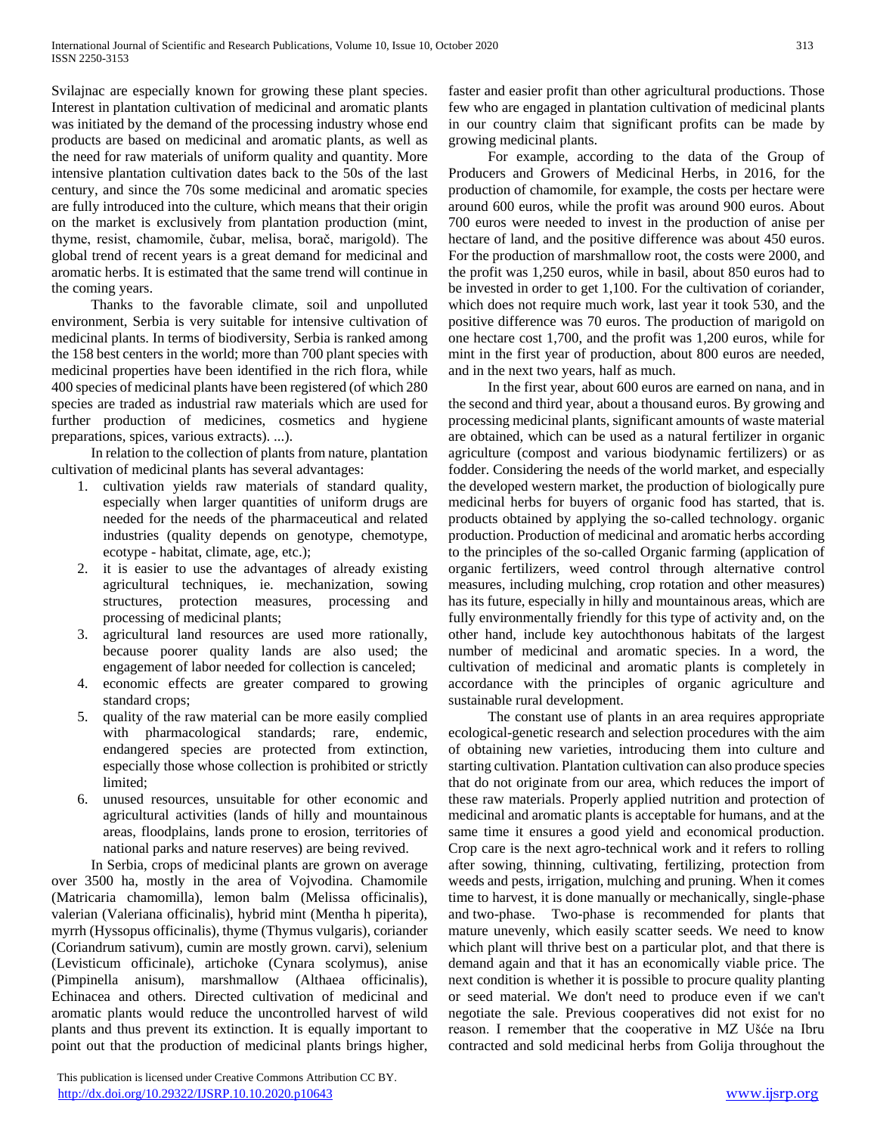Svilajnac are especially known for growing these plant species. Interest in plantation cultivation of medicinal and aromatic plants was initiated by the demand of the processing industry whose end products are based on medicinal and aromatic plants, as well as the need for raw materials of uniform quality and quantity. More intensive plantation cultivation dates back to the 50s of the last century, and since the 70s some medicinal and aromatic species are fully introduced into the culture, which means that their origin on the market is exclusively from plantation production (mint, thyme, resist, chamomile, čubar, melisa, borač, marigold). The global trend of recent years is a great demand for medicinal and aromatic herbs. It is estimated that the same trend will continue in the coming years.

 Thanks to the favorable climate, soil and unpolluted environment, Serbia is very suitable for intensive cultivation of medicinal plants. In terms of biodiversity, Serbia is ranked among the 158 best centers in the world; more than 700 plant species with medicinal properties have been identified in the rich flora, while 400 species of medicinal plants have been registered (of which 280 species are traded as industrial raw materials which are used for further production of medicines, cosmetics and hygiene preparations, spices, various extracts). ...).

 In relation to the collection of plants from nature, plantation cultivation of medicinal plants has several advantages:

- 1. cultivation yields raw materials of standard quality, especially when larger quantities of uniform drugs are needed for the needs of the pharmaceutical and related industries (quality depends on genotype, chemotype, ecotype - habitat, climate, age, etc.);
- 2. it is easier to use the advantages of already existing agricultural techniques, ie. mechanization, sowing structures, protection measures, processing and processing of medicinal plants;
- 3. agricultural land resources are used more rationally, because poorer quality lands are also used; the engagement of labor needed for collection is canceled;
- 4. economic effects are greater compared to growing standard crops;
- 5. quality of the raw material can be more easily complied with pharmacological standards; rare, endemic, endangered species are protected from extinction, especially those whose collection is prohibited or strictly limited;
- 6. unused resources, unsuitable for other economic and agricultural activities (lands of hilly and mountainous areas, floodplains, lands prone to erosion, territories of national parks and nature reserves) are being revived.

 In Serbia, crops of medicinal plants are grown on average over 3500 ha, mostly in the area of Vojvodina. Chamomile (Matricaria chamomilla), lemon balm (Melissa officinalis), valerian (Valeriana officinalis), hybrid mint (Mentha h piperita), myrrh (Hyssopus officinalis), thyme (Thymus vulgaris), coriander (Coriandrum sativum), cumin are mostly grown. carvi), selenium (Levisticum officinale), artichoke (Cynara scolymus), anise (Pimpinella anisum), marshmallow (Althaea officinalis), Echinacea and others. Directed cultivation of medicinal and aromatic plants would reduce the uncontrolled harvest of wild plants and thus prevent its extinction. It is equally important to point out that the production of medicinal plants brings higher,

 This publication is licensed under Creative Commons Attribution CC BY. <http://dx.doi.org/10.29322/IJSRP.10.10.2020.p10643> [www.ijsrp.org](http://ijsrp.org/)

faster and easier profit than other agricultural productions. Those few who are engaged in plantation cultivation of medicinal plants in our country claim that significant profits can be made by growing medicinal plants.

 For example, according to the data of the Group of Producers and Growers of Medicinal Herbs, in 2016, for the production of chamomile, for example, the costs per hectare were around 600 euros, while the profit was around 900 euros. About 700 euros were needed to invest in the production of anise per hectare of land, and the positive difference was about 450 euros. For the production of marshmallow root, the costs were 2000, and the profit was 1,250 euros, while in basil, about 850 euros had to be invested in order to get 1,100. For the cultivation of coriander, which does not require much work, last year it took 530, and the positive difference was 70 euros. The production of marigold on one hectare cost 1,700, and the profit was 1,200 euros, while for mint in the first year of production, about 800 euros are needed, and in the next two years, half as much.

 In the first year, about 600 euros are earned on nana, and in the second and third year, about a thousand euros. By growing and processing medicinal plants, significant amounts of waste material are obtained, which can be used as a natural fertilizer in organic agriculture (compost and various biodynamic fertilizers) or as fodder. Considering the needs of the world market, and especially the developed western market, the production of biologically pure medicinal herbs for buyers of organic food has started, that is. products obtained by applying the so-called technology. organic production. Production of medicinal and aromatic herbs according to the principles of the so-called Organic farming (application of organic fertilizers, weed control through alternative control measures, including mulching, crop rotation and other measures) has its future, especially in hilly and mountainous areas, which are fully environmentally friendly for this type of activity and, on the other hand, include key autochthonous habitats of the largest number of medicinal and aromatic species. In a word, the cultivation of medicinal and aromatic plants is completely in accordance with the principles of organic agriculture and sustainable rural development.

 The constant use of plants in an area requires appropriate ecological-genetic research and selection procedures with the aim of obtaining new varieties, introducing them into culture and starting cultivation. Plantation cultivation can also produce species that do not originate from our area, which reduces the import of these raw materials. Properly applied nutrition and protection of medicinal and aromatic plants is acceptable for humans, and at the same time it ensures a good yield and economical production. Crop care is the next agro-technical work and it refers to rolling after sowing, thinning, cultivating, fertilizing, protection from weeds and pests, irrigation, mulching and pruning. When it comes time to harvest, it is done manually or mechanically, single-phase and two-phase. Two-phase is recommended for plants that mature unevenly, which easily scatter seeds. We need to know which plant will thrive best on a particular plot, and that there is demand again and that it has an economically viable price. The next condition is whether it is possible to procure quality planting or seed material. We don't need to produce even if we can't negotiate the sale. Previous cooperatives did not exist for no reason. I remember that the cooperative in MZ Ušće na Ibru contracted and sold medicinal herbs from Golija throughout the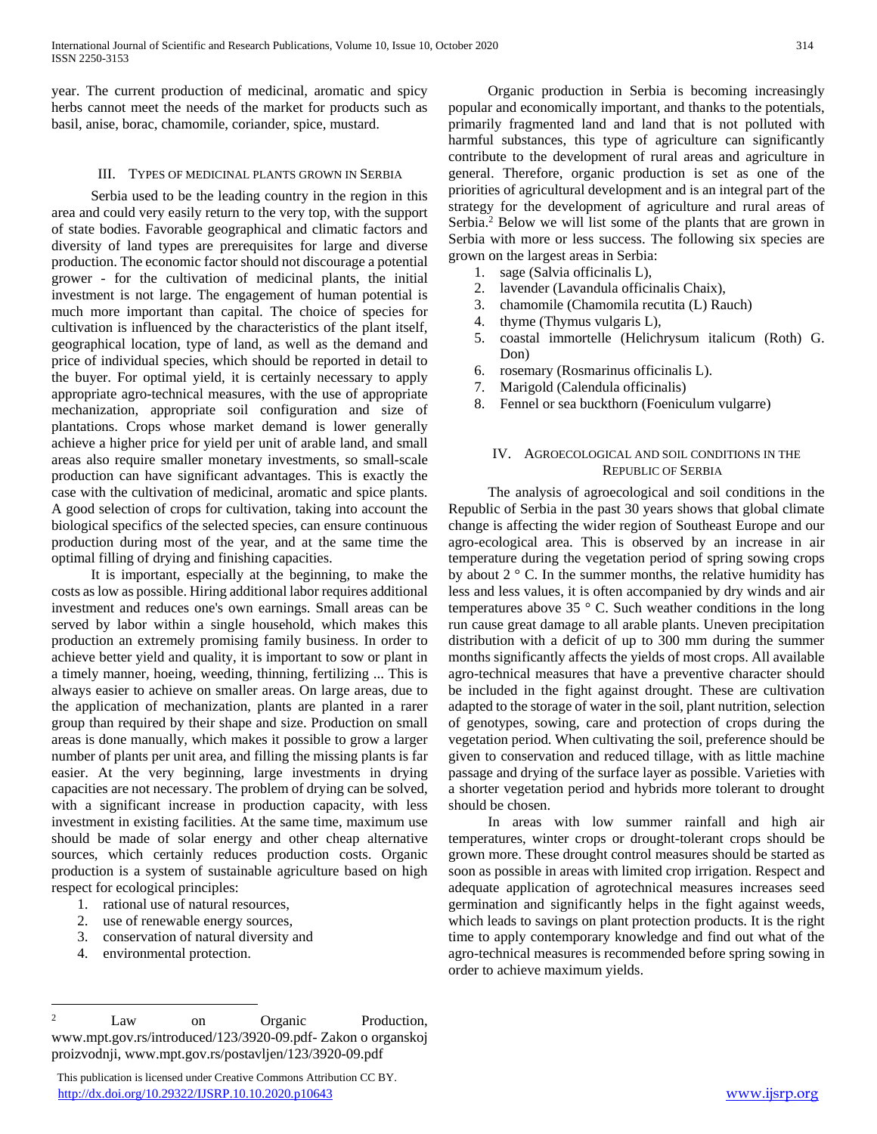year. The current production of medicinal, aromatic and spicy herbs cannot meet the needs of the market for products such as basil, anise, borac, chamomile, coriander, spice, mustard.

## III. TYPES OF MEDICINAL PLANTS GROWN IN SERBIA

 Serbia used to be the leading country in the region in this area and could very easily return to the very top, with the support of state bodies. Favorable geographical and climatic factors and diversity of land types are prerequisites for large and diverse production. The economic factor should not discourage a potential grower - for the cultivation of medicinal plants, the initial investment is not large. The engagement of human potential is much more important than capital. The choice of species for cultivation is influenced by the characteristics of the plant itself, geographical location, type of land, as well as the demand and price of individual species, which should be reported in detail to the buyer. For optimal yield, it is certainly necessary to apply appropriate agro-technical measures, with the use of appropriate mechanization, appropriate soil configuration and size of plantations. Crops whose market demand is lower generally achieve a higher price for yield per unit of arable land, and small areas also require smaller monetary investments, so small-scale production can have significant advantages. This is exactly the case with the cultivation of medicinal, aromatic and spice plants. A good selection of crops for cultivation, taking into account the biological specifics of the selected species, can ensure continuous production during most of the year, and at the same time the optimal filling of drying and finishing capacities.

 It is important, especially at the beginning, to make the costs as low as possible. Hiring additional labor requires additional investment and reduces one's own earnings. Small areas can be served by labor within a single household, which makes this production an extremely promising family business. In order to achieve better yield and quality, it is important to sow or plant in a timely manner, hoeing, weeding, thinning, fertilizing ... This is always easier to achieve on smaller areas. On large areas, due to the application of mechanization, plants are planted in a rarer group than required by their shape and size. Production on small areas is done manually, which makes it possible to grow a larger number of plants per unit area, and filling the missing plants is far easier. At the very beginning, large investments in drying capacities are not necessary. The problem of drying can be solved, with a significant increase in production capacity, with less investment in existing facilities. At the same time, maximum use should be made of solar energy and other cheap alternative sources, which certainly reduces production costs. Organic production is a system of sustainable agriculture based on high respect for ecological principles:

- 1. rational use of natural resources,
- 2. use of renewable energy sources,
- 3. conservation of natural diversity and
- 4. environmental protection.

 $\overline{a}$ 

 This publication is licensed under Creative Commons Attribution CC BY. <http://dx.doi.org/10.29322/IJSRP.10.10.2020.p10643> [www.ijsrp.org](http://ijsrp.org/)

 Organic production in Serbia is becoming increasingly popular and economically important, and thanks to the potentials, primarily fragmented land and land that is not polluted with harmful substances, this type of agriculture can significantly contribute to the development of rural areas and agriculture in general. Therefore, organic production is set as one of the priorities of agricultural development and is an integral part of the strategy for the development of agriculture and rural areas of Serbia.<sup>2</sup> Below we will list some of the plants that are grown in Serbia with more or less success. The following six species are grown on the largest areas in Serbia:

- 1. sage (Salvia officinalis L),
- 2. lavender (Lavandula officinalis Chaix),
- 3. chamomile (Chamomila recutita (L) Rauch)
- 4. thyme (Thymus vulgaris L),
- 5. coastal immortelle (Helichrysum italicum (Roth) G. Don)
- 6. rosemary (Rosmarinus officinalis L).
- 7. Marigold (Calendula officinalis)
- 8. Fennel or sea buckthorn (Foeniculum vulgarre)

## IV. AGROECOLOGICAL AND SOIL CONDITIONS IN THE REPUBLIC OF SERBIA

 The analysis of agroecological and soil conditions in the Republic of Serbia in the past 30 years shows that global climate change is affecting the wider region of Southeast Europe and our agro-ecological area. This is observed by an increase in air temperature during the vegetation period of spring sowing crops by about 2 ° C. In the summer months, the relative humidity has less and less values, it is often accompanied by dry winds and air temperatures above 35 ° C. Such weather conditions in the long run cause great damage to all arable plants. Uneven precipitation distribution with a deficit of up to 300 mm during the summer months significantly affects the yields of most crops. All available agro-technical measures that have a preventive character should be included in the fight against drought. These are cultivation adapted to the storage of water in the soil, plant nutrition, selection of genotypes, sowing, care and protection of crops during the vegetation period. When cultivating the soil, preference should be given to conservation and reduced tillage, with as little machine passage and drying of the surface layer as possible. Varieties with a shorter vegetation period and hybrids more tolerant to drought should be chosen.

 In areas with low summer rainfall and high air temperatures, winter crops or drought-tolerant crops should be grown more. These drought control measures should be started as soon as possible in areas with limited crop irrigation. Respect and adequate application of agrotechnical measures increases seed germination and significantly helps in the fight against weeds, which leads to savings on plant protection products. It is the right time to apply contemporary knowledge and find out what of the agro-technical measures is recommended before spring sowing in order to achieve maximum yields.

<sup>&</sup>lt;sup>2</sup> Law on Organic Production, www.mpt.gov.rs/introduced/123/3920-09.pdf- Zakon o organskoj proizvodnji, www.mpt.gov.rs/postavljen/123/3920-09.pdf